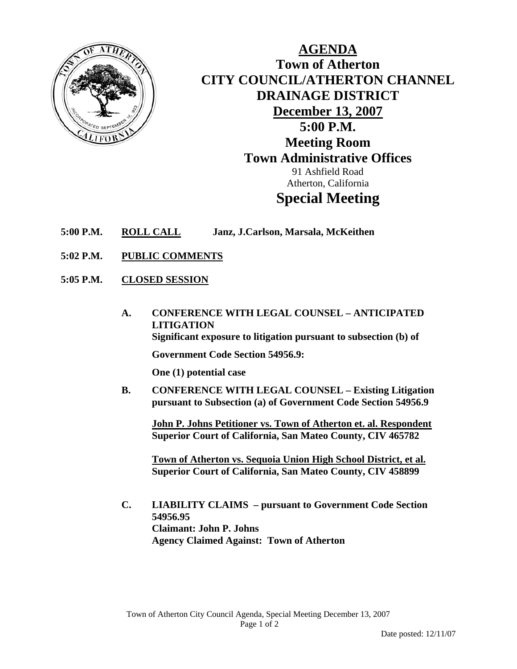

**AGENDA Town of Atherton CITY COUNCIL/ATHERTON CHANNEL DRAINAGE DISTRICT December 13, 2007 5:00 P.M. Meeting Room Town Administrative Offices**  91 Ashfield Road Atherton, California **Special Meeting** 

- **5:00 P.M. ROLL CALL Janz, J.Carlson, Marsala, McKeithen**
- **5:02 P.M. PUBLIC COMMENTS**
- **5:05 P.M. CLOSED SESSION**
	- **A. CONFERENCE WITH LEGAL COUNSEL ANTICIPATED LITIGATION Significant exposure to litigation pursuant to subsection (b) of**

**Government Code Section 54956.9:** 

 **One (1) potential case** 

 **B. CONFERENCE WITH LEGAL COUNSEL – Existing Litigation pursuant to Subsection (a) of Government Code Section 54956.9** 

 **John P. Johns Petitioner vs. Town of Atherton et. al. Respondent Superior Court of California, San Mateo County, CIV 465782** 

 **Town of Atherton vs. Sequoia Union High School District, et al. Superior Court of California, San Mateo County, CIV 458899** 

 **C. LIABILITY CLAIMS – pursuant to Government Code Section 54956.95 Claimant: John P. Johns Agency Claimed Against: Town of Atherton**